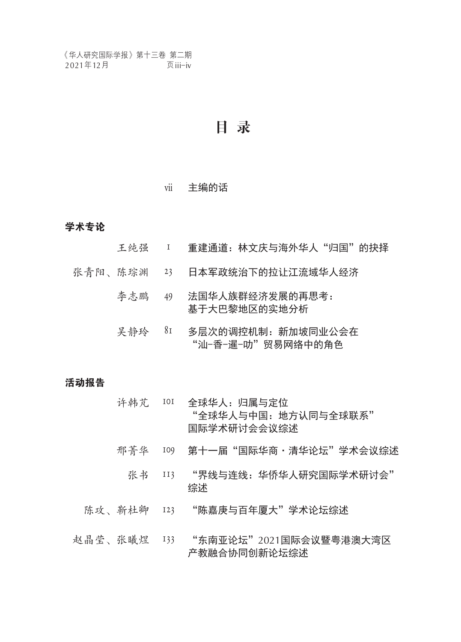## 目 录

#### vii 主编的话

#### 学术专论

- 王纯强 1 重建通道:林文庆与海外华人"归国"的抉择
- 张青阳、陈琮渊 23 日本军政统治下的拉让江流域华人经济
	- 李志鹏 49 法国华人族群经济发展的再思考: 基于大巴黎地区的实地分析
	- 吴静玲 81 多层次的调控机制:新加坡同业公会在 "汕-香-暹-叻"贸易网络中的角色

#### 活动报告

- 许韩芃 101 全球华人:归属与定位 "全球华人与中国:地方认同与全球联系" 国际学术研讨会会议综述
- 邢菁华 109 第十一届"国际华商·清华论坛"学术会议综述
	- 张书 II3 "界线与连线:华侨华人研究国际学术研讨会" 综述
- 陈攻、靳杜卿 123 "陈嘉庚与百年厦大"学术论坛综述
- 赵晶莹、张曦煜 133 "东南亚论坛"2021国际会议暨粤港澳大湾区 产教融合协同创新论坛综述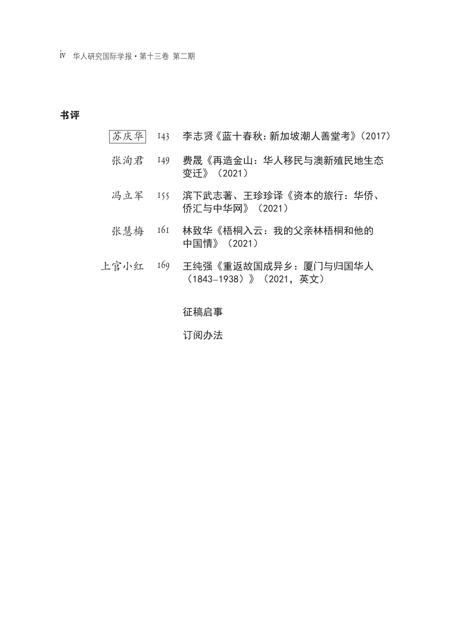iv 华人研究国际学报·第十三卷 第二期

#### 书评

- 苏庆华 143 李志贤《蓝十春秋:新加坡潮人善堂考》(2017)
- 张洵君 149 费晟《再造金山:华人移民与澳新殖民地生态 变迁》(2021)
- 冯立军 155 滨下武志著、王珍珍译《资本的旅行:华侨、 侨汇与中华网》(2021)
- 张慧梅 161 林致华《梧桐入云: 我的父亲林梧桐和他的 中国情》(2021)
- 上官小红 169 王纯强《重返故国成异乡:厦门与归国华人 (1843–1938)》(2021,英文)

#### 征稿启事

#### 订阅办法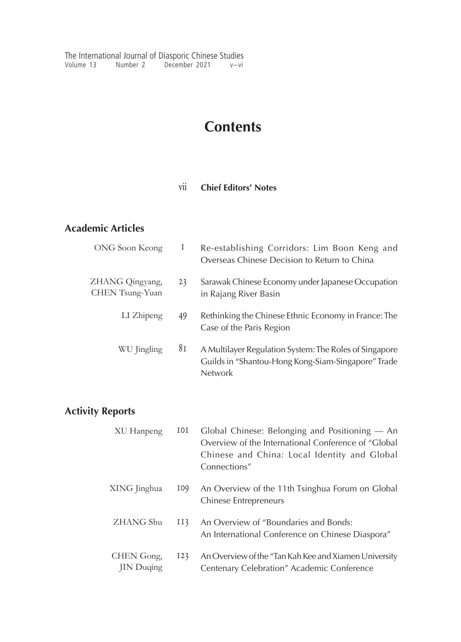The International Journal of Diasporic Chinese Studies Volume 13 Number 2 December 2021 v–vi

# **Contents**

### vii **Chief Editors' Notes**

## **Academic Articles**

| ONG Soon Keong                     | Ι  | Re-establishing Corridors: Lim Boon Keng and<br>Overseas Chinese Decision to Return to China                                   |
|------------------------------------|----|--------------------------------------------------------------------------------------------------------------------------------|
| ZHANG Qingyang,<br>CHEN Tsung-Yuan | 23 | Sarawak Chinese Economy under Japanese Occupation<br>in Rajang River Basin                                                     |
| LI Zhipeng                         | 49 | Rethinking the Chinese Ethnic Economy in France: The<br>Case of the Paris Region                                               |
| WU Jingling                        | 81 | A Multilayer Regulation System: The Roles of Singapore<br>Guilds in "Shantou-Hong Kong-Siam-Singapore" Trade<br><b>Network</b> |

## **Activity Reports**

| XU Hanpeng                     | 101 | Global Chinese: Belonging and Positioning — An<br>Overview of the International Conference of "Global<br>Chinese and China: Local Identity and Global<br>Connections" |
|--------------------------------|-----|-----------------------------------------------------------------------------------------------------------------------------------------------------------------------|
| XING Jinghua                   | 109 | An Overview of the 11th Tsinghua Forum on Global<br>Chinese Entrepreneurs                                                                                             |
| <b>ZHANG</b> Shu               | II3 | An Overview of "Boundaries and Bonds:<br>An International Conference on Chinese Diaspora"                                                                             |
| CHEN Gong,<br><b>IN</b> Duqing | 123 | An Overview of the "Tan Kah Kee and Xiamen University<br>Centenary Celebration" Academic Conference                                                                   |